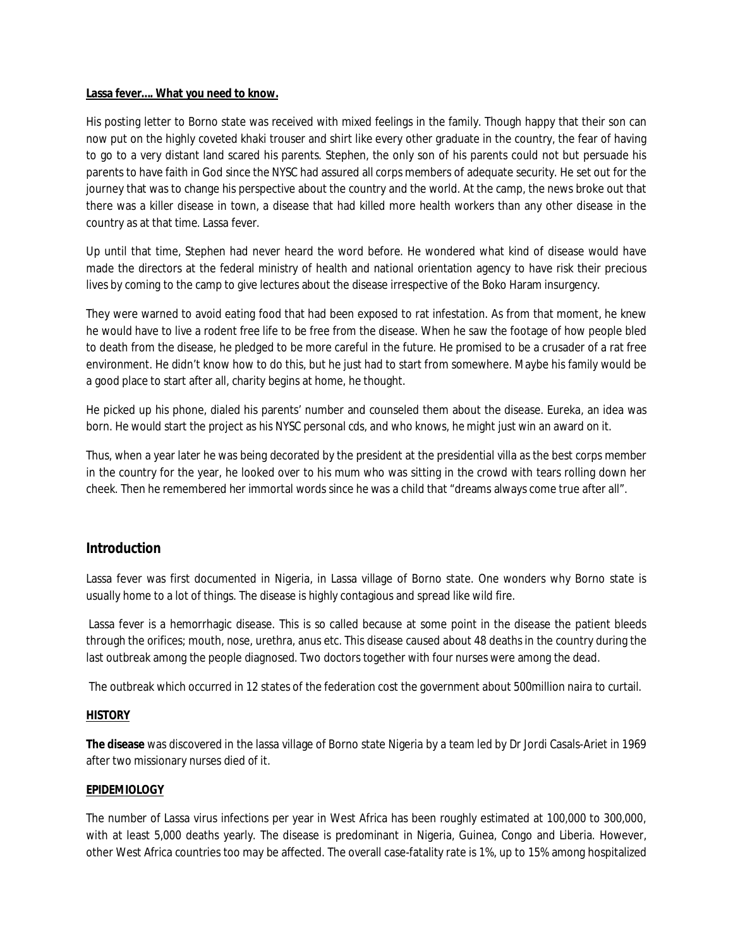### **Lassa fever…. What you need to know.**

His posting letter to Borno state was received with mixed feelings in the family. Though happy that their son can now put on the highly coveted khaki trouser and shirt like every other graduate in the country, the fear of having to go to a very distant land scared his parents. Stephen, the only son of his parents could not but persuade his parents to have faith in God since the NYSC had assured all corps members of adequate security. He set out for the journey that was to change his perspective about the country and the world. At the camp, the news broke out that there was a killer disease in town, a disease that had killed more health workers than any other disease in the country as at that time. Lassa fever.

Up until that time, Stephen had never heard the word before. He wondered what kind of disease would have made the directors at the federal ministry of health and national orientation agency to have risk their precious lives by coming to the camp to give lectures about the disease irrespective of the Boko Haram insurgency.

They were warned to avoid eating food that had been exposed to rat infestation. As from that moment, he knew he would have to live a rodent free life to be free from the disease. When he saw the footage of how people bled to death from the disease, he pledged to be more careful in the future. He promised to be a crusader of a rat free environment. He didn't know how to do this, but he just had to start from somewhere. Maybe his family would be a good place to start after all, charity begins at home, he thought.

He picked up his phone, dialed his parents' number and counseled them about the disease. Eureka, an idea was born. He would start the project as his NYSC personal cds, and who knows, he might just win an award on it.

Thus, when a year later he was being decorated by the president at the presidential villa as the best corps member in the country for the year, he looked over to his mum who was sitting in the crowd with tears rolling down her cheek. Then he remembered her immortal words since he was a child that "dreams always come true after all".

# **Introduction**

Lassa fever was first documented in Nigeria, in Lassa village of Borno state. One wonders why Borno state is usually home to a lot of things. The disease is highly contagious and spread like wild fire.

Lassa fever is a hemorrhagic disease. This is so called because at some point in the disease the patient bleeds through the orifices; mouth, nose, urethra, anus etc. This disease caused about 48 deaths in the country during the last outbreak among the people diagnosed. Two doctors together with four nurses were among the dead.

The outbreak which occurred in 12 states of the federation cost the government about 500million naira to curtail.

# **HISTORY**

**The disease** was discovered in the lassa village of Borno state Nigeria by a team led by Dr Jordi Casals-Ariet in 1969 after two missionary nurses died of it.

# **EPIDEMIOLOGY**

The number of Lassa virus infections per year in West Africa has been roughly estimated at 100,000 to 300,000, with at least 5,000 deaths yearly. The disease is predominant in Nigeria, Guinea, Congo and Liberia. However, other West Africa countries too may be affected. The overall case-fatality rate is 1%, up to 15% among hospitalized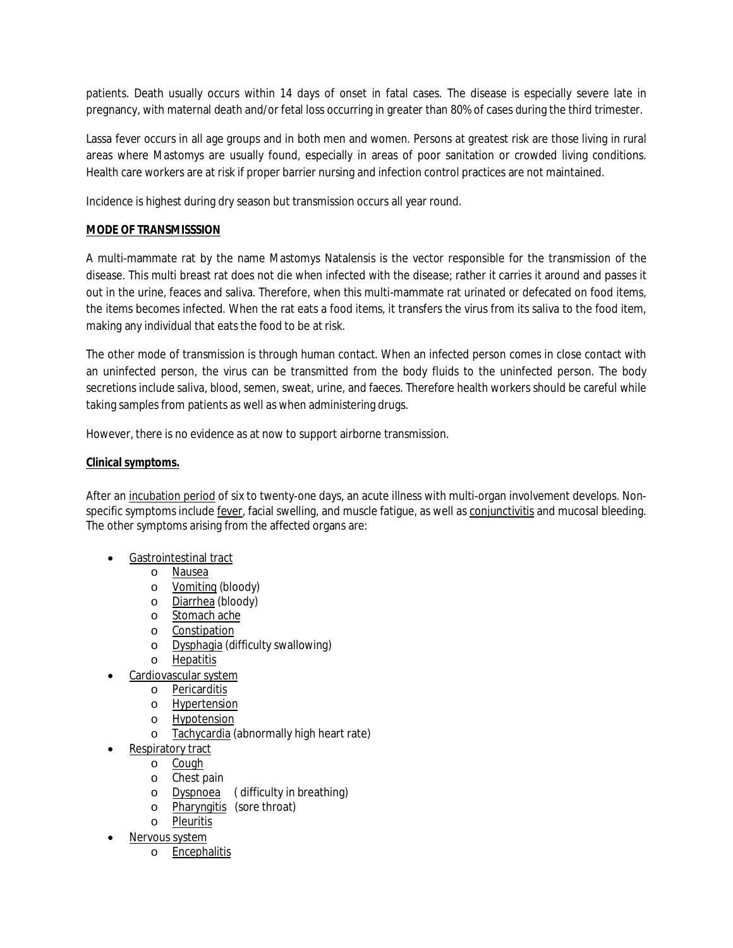patients. Death usually occurs within 14 days of onset in fatal cases. The disease is especially severe late in pregnancy, with maternal death and/or fetal loss occurring in greater than 80% of cases during the third trimester.

Lassa fever occurs in all age groups and in both men and women. Persons at greatest risk are those living in rural areas where Mastomys are usually found, especially in areas of poor sanitation or crowded living conditions. Health care workers are at risk if proper barrier nursing and infection control practices are not maintained.

Incidence is highest during dry season but transmission occurs all year round.

# **MODE OF TRANSMISSSION**

A multi-mammate rat by the name Mastomys Natalensis is the vector responsible for the transmission of the disease. This multi breast rat does not die when infected with the disease; rather it carries it around and passes it out in the urine, feaces and saliva. Therefore, when this multi-mammate rat urinated or defecated on food items, the items becomes infected. When the rat eats a food items, it transfers the virus from its saliva to the food item, making any individual that eats the food to be at risk.

The other mode of transmission is through human contact. When an infected person comes in close contact with an uninfected person, the virus can be transmitted from the body fluids to the uninfected person. The body secretions include saliva, blood, semen, sweat, urine, and faeces. Therefore health workers should be careful while taking samples from patients as well as when administering drugs.

However, there is no evidence as at now to support airborne transmission.

# **Clinical symptoms.**

After an incubation period of six to twenty-one days, an acute illness with multi-organ involvement develops. Nonspecific symptoms include fever, facial swelling, and muscle fatigue, as well as conjunctivitis and mucosal bleeding. The other symptoms arising from the affected organs are:

- Gastrointestinal tract
	- o Nausea
	- o Vomiting (bloody)
	- o Diarrhea (bloody)
	- o Stomach ache
	- o Constipation
	- o Dysphagia (difficulty swallowing)
	- o Hepatitis
- Cardiovascular system
	- o Pericarditis
	- o Hypertension
	- o Hypotension
	- o Tachycardia (abnormally high heart rate)
	- Respiratory tract
		- o Cough
		- o Chest pain
		- o Dyspnoea ( difficulty in breathing)
		- o Pharyngitis (sore throat)
		- o Pleuritis
- Nervous system
	- o Encephalitis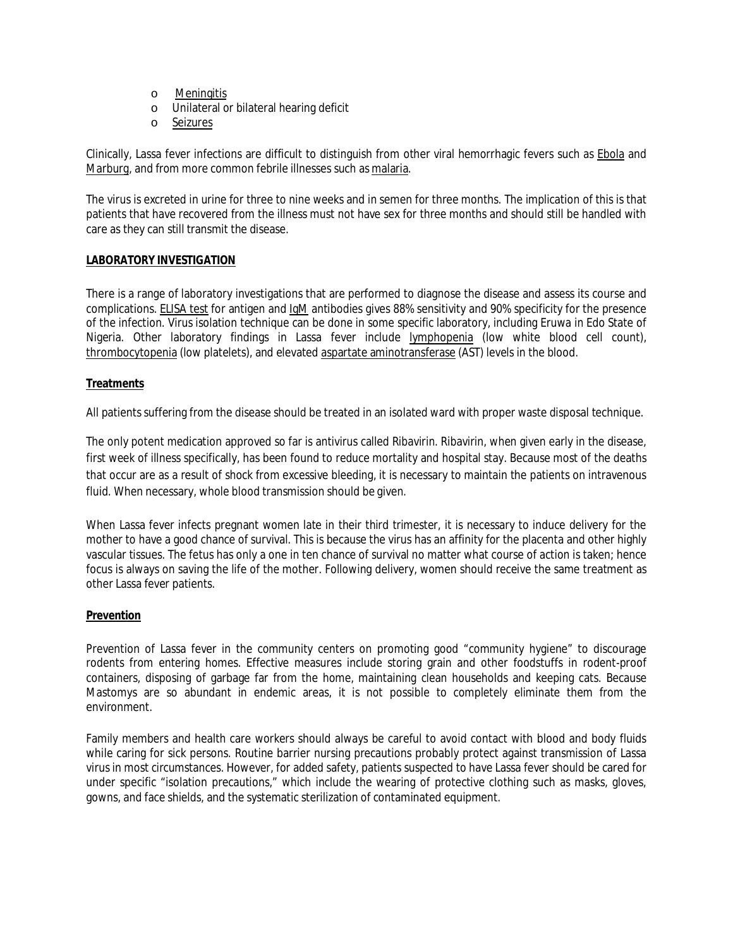- o Meningitis
- o Unilateral or bilateral hearing deficit
- o Seizures

Clinically, Lassa fever infections are difficult to distinguish from other viral hemorrhagic fevers such as Ebola and Marburg, and from more common febrile illnesses such as malaria.

The virus is excreted in urine for three to nine weeks and in semen for three months. The implication of this is that patients that have recovered from the illness must not have sex for three months and should still be handled with care as they can still transmit the disease.

## **LABORATORY INVESTIGATION**

There is a range of laboratory investigations that are performed to diagnose the disease and assess its course and complications. ELISA test for antigen and IgM antibodies gives 88% sensitivity and 90% specificity for the presence of the infection. Virus isolation technique can be done in some specific laboratory, including Eruwa in Edo State of Nigeria. Other laboratory findings in Lassa fever include lymphopenia (low white blood cell count), thrombocytopenia (low platelets), and elevated aspartate aminotransferase (AST) levels in the blood.

## **Treatments**

All patients suffering from the disease should be treated in an isolated ward with proper waste disposal technique.

The only potent medication approved so far is antivirus called Ribavirin. Ribavirin, when given early in the disease, first week of illness specifically, has been found to reduce mortality and hospital stay. Because most of the deaths that occur are as a result of shock from excessive bleeding, it is necessary to maintain the patients on intravenous fluid. When necessary, whole blood transmission should be given.

When Lassa fever infects pregnant women late in their third trimester, it is necessary to induce delivery for the mother to have a good chance of survival. This is because the virus has an affinity for the placenta and other highly vascular tissues. The fetus has only a one in ten chance of survival no matter what course of action is taken; hence focus is always on saving the life of the mother. Following delivery, women should receive the same treatment as other Lassa fever patients.

# **Prevention**

Prevention of Lassa fever in the community centers on promoting good "community hygiene" to discourage rodents from entering homes. Effective measures include storing grain and other foodstuffs in rodent-proof containers, disposing of garbage far from the home, maintaining clean households and keeping cats. Because Mastomys are so abundant in endemic areas, it is not possible to completely eliminate them from the environment.

Family members and health care workers should always be careful to avoid contact with blood and body fluids while caring for sick persons. Routine barrier nursing precautions probably protect against transmission of Lassa virus in most circumstances. However, for added safety, patients suspected to have Lassa fever should be cared for under specific "isolation precautions," which include the wearing of protective clothing such as masks, gloves, gowns, and face shields, and the systematic sterilization of contaminated equipment.